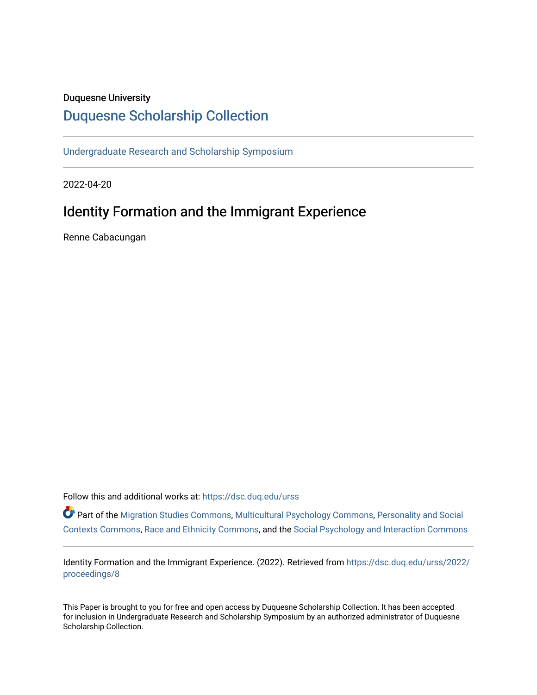# Duquesne University

# [Duquesne Scholarship Collection](https://dsc.duq.edu/)

[Undergraduate Research and Scholarship Symposium](https://dsc.duq.edu/urss)

2022-04-20

# Identity Formation and the Immigrant Experience

Renne Cabacungan

Follow this and additional works at: [https://dsc.duq.edu/urss](https://dsc.duq.edu/urss?utm_source=dsc.duq.edu%2Furss%2F2022%2Fproceedings%2F8&utm_medium=PDF&utm_campaign=PDFCoverPages)

Part of the [Migration Studies Commons,](https://network.bepress.com/hgg/discipline/1394?utm_source=dsc.duq.edu%2Furss%2F2022%2Fproceedings%2F8&utm_medium=PDF&utm_campaign=PDFCoverPages) [Multicultural Psychology Commons,](https://network.bepress.com/hgg/discipline/1237?utm_source=dsc.duq.edu%2Furss%2F2022%2Fproceedings%2F8&utm_medium=PDF&utm_campaign=PDFCoverPages) [Personality and Social](https://network.bepress.com/hgg/discipline/413?utm_source=dsc.duq.edu%2Furss%2F2022%2Fproceedings%2F8&utm_medium=PDF&utm_campaign=PDFCoverPages)  [Contexts Commons](https://network.bepress.com/hgg/discipline/413?utm_source=dsc.duq.edu%2Furss%2F2022%2Fproceedings%2F8&utm_medium=PDF&utm_campaign=PDFCoverPages), [Race and Ethnicity Commons](https://network.bepress.com/hgg/discipline/426?utm_source=dsc.duq.edu%2Furss%2F2022%2Fproceedings%2F8&utm_medium=PDF&utm_campaign=PDFCoverPages), and the [Social Psychology and Interaction Commons](https://network.bepress.com/hgg/discipline/430?utm_source=dsc.duq.edu%2Furss%2F2022%2Fproceedings%2F8&utm_medium=PDF&utm_campaign=PDFCoverPages) 

Identity Formation and the Immigrant Experience. (2022). Retrieved from [https://dsc.duq.edu/urss/2022/](https://dsc.duq.edu/urss/2022/proceedings/8?utm_source=dsc.duq.edu%2Furss%2F2022%2Fproceedings%2F8&utm_medium=PDF&utm_campaign=PDFCoverPages) [proceedings/8](https://dsc.duq.edu/urss/2022/proceedings/8?utm_source=dsc.duq.edu%2Furss%2F2022%2Fproceedings%2F8&utm_medium=PDF&utm_campaign=PDFCoverPages) 

This Paper is brought to you for free and open access by Duquesne Scholarship Collection. It has been accepted for inclusion in Undergraduate Research and Scholarship Symposium by an authorized administrator of Duquesne Scholarship Collection.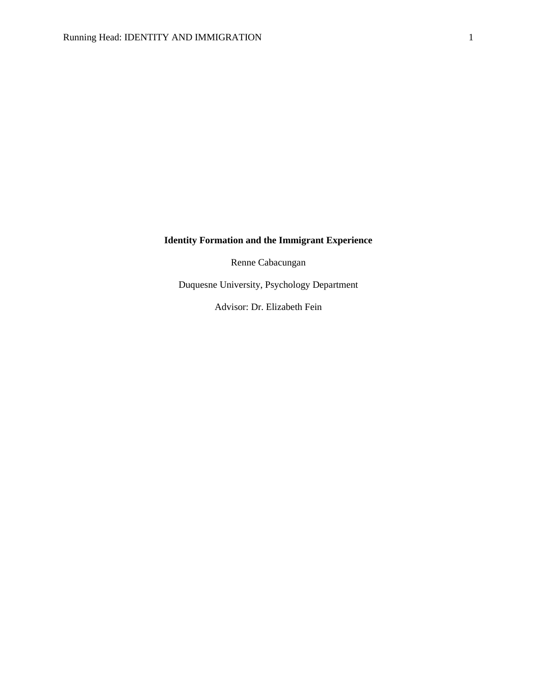# **Identity Formation and the Immigrant Experience**

Renne Cabacungan

Duquesne University, Psychology Department

Advisor: Dr. Elizabeth Fein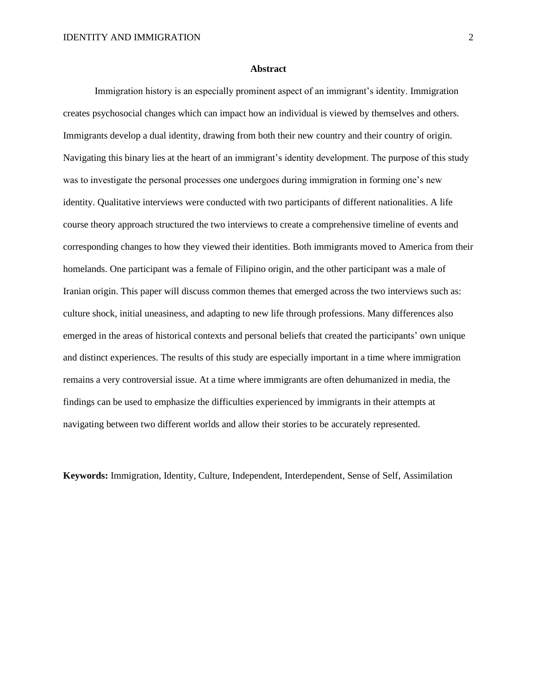#### **Abstract**

Immigration history is an especially prominent aspect of an immigrant's identity. Immigration creates psychosocial changes which can impact how an individual is viewed by themselves and others. Immigrants develop a dual identity, drawing from both their new country and their country of origin. Navigating this binary lies at the heart of an immigrant's identity development. The purpose of this study was to investigate the personal processes one undergoes during immigration in forming one's new identity. Qualitative interviews were conducted with two participants of different nationalities. A life course theory approach structured the two interviews to create a comprehensive timeline of events and corresponding changes to how they viewed their identities. Both immigrants moved to America from their homelands. One participant was a female of Filipino origin, and the other participant was a male of Iranian origin. This paper will discuss common themes that emerged across the two interviews such as: culture shock, initial uneasiness, and adapting to new life through professions. Many differences also emerged in the areas of historical contexts and personal beliefs that created the participants' own unique and distinct experiences. The results of this study are especially important in a time where immigration remains a very controversial issue. At a time where immigrants are often dehumanized in media, the findings can be used to emphasize the difficulties experienced by immigrants in their attempts at navigating between two different worlds and allow their stories to be accurately represented.

**Keywords:** Immigration, Identity, Culture, Independent, Interdependent, Sense of Self, Assimilation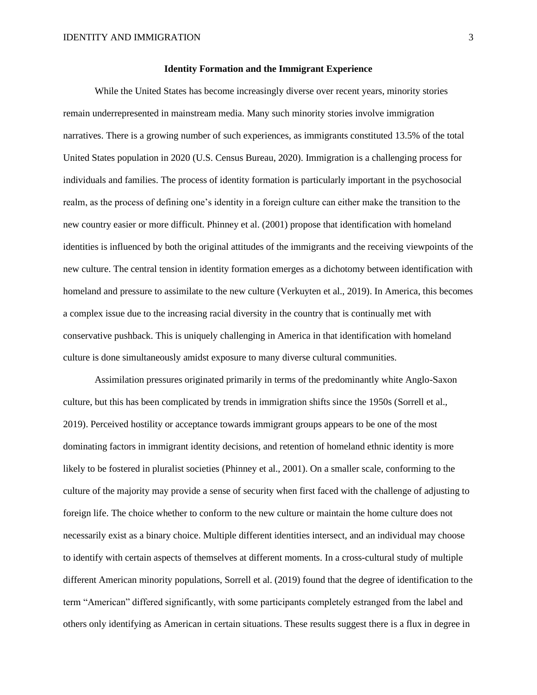### **Identity Formation and the Immigrant Experience**

While the United States has become increasingly diverse over recent years, minority stories remain underrepresented in mainstream media. Many such minority stories involve immigration narratives. There is a growing number of such experiences, as immigrants constituted 13.5% of the total United States population in 2020 (U.S. Census Bureau, 2020). Immigration is a challenging process for individuals and families. The process of identity formation is particularly important in the psychosocial realm, as the process of defining one's identity in a foreign culture can either make the transition to the new country easier or more difficult. Phinney et al. (2001) propose that identification with homeland identities is influenced by both the original attitudes of the immigrants and the receiving viewpoints of the new culture. The central tension in identity formation emerges as a dichotomy between identification with homeland and pressure to assimilate to the new culture (Verkuyten et al., 2019). In America, this becomes a complex issue due to the increasing racial diversity in the country that is continually met with conservative pushback. This is uniquely challenging in America in that identification with homeland culture is done simultaneously amidst exposure to many diverse cultural communities.

Assimilation pressures originated primarily in terms of the predominantly white Anglo-Saxon culture, but this has been complicated by trends in immigration shifts since the 1950s (Sorrell et al., 2019). Perceived hostility or acceptance towards immigrant groups appears to be one of the most dominating factors in immigrant identity decisions, and retention of homeland ethnic identity is more likely to be fostered in pluralist societies (Phinney et al., 2001). On a smaller scale, conforming to the culture of the majority may provide a sense of security when first faced with the challenge of adjusting to foreign life. The choice whether to conform to the new culture or maintain the home culture does not necessarily exist as a binary choice. Multiple different identities intersect, and an individual may choose to identify with certain aspects of themselves at different moments. In a cross-cultural study of multiple different American minority populations, Sorrell et al. (2019) found that the degree of identification to the term "American" differed significantly, with some participants completely estranged from the label and others only identifying as American in certain situations. These results suggest there is a flux in degree in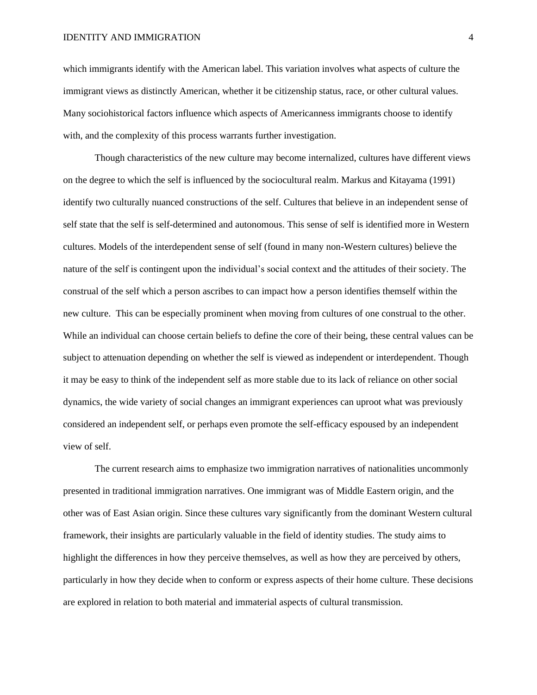which immigrants identify with the American label. This variation involves what aspects of culture the immigrant views as distinctly American, whether it be citizenship status, race, or other cultural values. Many sociohistorical factors influence which aspects of Americanness immigrants choose to identify with, and the complexity of this process warrants further investigation.

Though characteristics of the new culture may become internalized, cultures have different views on the degree to which the self is influenced by the sociocultural realm. Markus and Kitayama (1991) identify two culturally nuanced constructions of the self. Cultures that believe in an independent sense of self state that the self is self-determined and autonomous. This sense of self is identified more in Western cultures. Models of the interdependent sense of self (found in many non-Western cultures) believe the nature of the self is contingent upon the individual's social context and the attitudes of their society. The construal of the self which a person ascribes to can impact how a person identifies themself within the new culture. This can be especially prominent when moving from cultures of one construal to the other. While an individual can choose certain beliefs to define the core of their being, these central values can be subject to attenuation depending on whether the self is viewed as independent or interdependent. Though it may be easy to think of the independent self as more stable due to its lack of reliance on other social dynamics, the wide variety of social changes an immigrant experiences can uproot what was previously considered an independent self, or perhaps even promote the self-efficacy espoused by an independent view of self.

The current research aims to emphasize two immigration narratives of nationalities uncommonly presented in traditional immigration narratives. One immigrant was of Middle Eastern origin, and the other was of East Asian origin. Since these cultures vary significantly from the dominant Western cultural framework, their insights are particularly valuable in the field of identity studies. The study aims to highlight the differences in how they perceive themselves, as well as how they are perceived by others, particularly in how they decide when to conform or express aspects of their home culture. These decisions are explored in relation to both material and immaterial aspects of cultural transmission.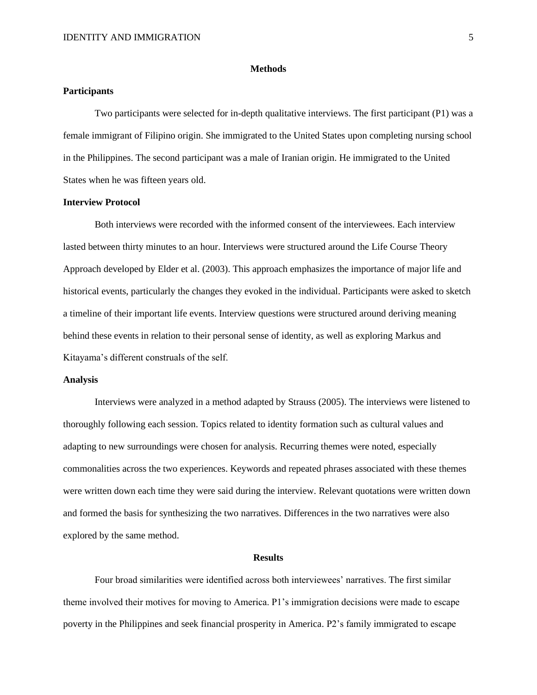#### **Methods**

# **Participants**

Two participants were selected for in-depth qualitative interviews. The first participant (P1) was a female immigrant of Filipino origin. She immigrated to the United States upon completing nursing school in the Philippines. The second participant was a male of Iranian origin. He immigrated to the United States when he was fifteen years old.

# **Interview Protocol**

Both interviews were recorded with the informed consent of the interviewees. Each interview lasted between thirty minutes to an hour. Interviews were structured around the Life Course Theory Approach developed by Elder et al. (2003). This approach emphasizes the importance of major life and historical events, particularly the changes they evoked in the individual. Participants were asked to sketch a timeline of their important life events. Interview questions were structured around deriving meaning behind these events in relation to their personal sense of identity, as well as exploring Markus and Kitayama's different construals of the self.

# **Analysis**

Interviews were analyzed in a method adapted by Strauss (2005). The interviews were listened to thoroughly following each session. Topics related to identity formation such as cultural values and adapting to new surroundings were chosen for analysis. Recurring themes were noted, especially commonalities across the two experiences. Keywords and repeated phrases associated with these themes were written down each time they were said during the interview. Relevant quotations were written down and formed the basis for synthesizing the two narratives. Differences in the two narratives were also explored by the same method.

## **Results**

Four broad similarities were identified across both interviewees' narratives. The first similar theme involved their motives for moving to America. P1's immigration decisions were made to escape poverty in the Philippines and seek financial prosperity in America. P2's family immigrated to escape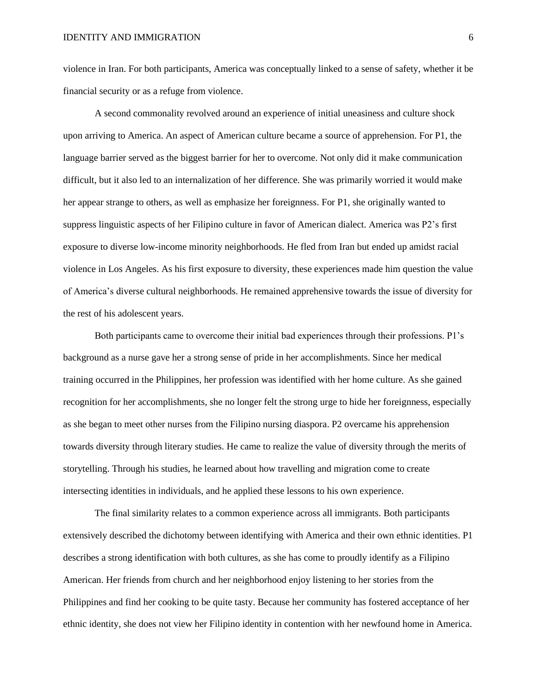violence in Iran. For both participants, America was conceptually linked to a sense of safety, whether it be financial security or as a refuge from violence.

A second commonality revolved around an experience of initial uneasiness and culture shock upon arriving to America. An aspect of American culture became a source of apprehension. For P1, the language barrier served as the biggest barrier for her to overcome. Not only did it make communication difficult, but it also led to an internalization of her difference. She was primarily worried it would make her appear strange to others, as well as emphasize her foreignness. For P1, she originally wanted to suppress linguistic aspects of her Filipino culture in favor of American dialect. America was P2's first exposure to diverse low-income minority neighborhoods. He fled from Iran but ended up amidst racial violence in Los Angeles. As his first exposure to diversity, these experiences made him question the value of America's diverse cultural neighborhoods. He remained apprehensive towards the issue of diversity for the rest of his adolescent years.

Both participants came to overcome their initial bad experiences through their professions. P1's background as a nurse gave her a strong sense of pride in her accomplishments. Since her medical training occurred in the Philippines, her profession was identified with her home culture. As she gained recognition for her accomplishments, she no longer felt the strong urge to hide her foreignness, especially as she began to meet other nurses from the Filipino nursing diaspora. P2 overcame his apprehension towards diversity through literary studies. He came to realize the value of diversity through the merits of storytelling. Through his studies, he learned about how travelling and migration come to create intersecting identities in individuals, and he applied these lessons to his own experience.

The final similarity relates to a common experience across all immigrants. Both participants extensively described the dichotomy between identifying with America and their own ethnic identities. P1 describes a strong identification with both cultures, as she has come to proudly identify as a Filipino American. Her friends from church and her neighborhood enjoy listening to her stories from the Philippines and find her cooking to be quite tasty. Because her community has fostered acceptance of her ethnic identity, she does not view her Filipino identity in contention with her newfound home in America.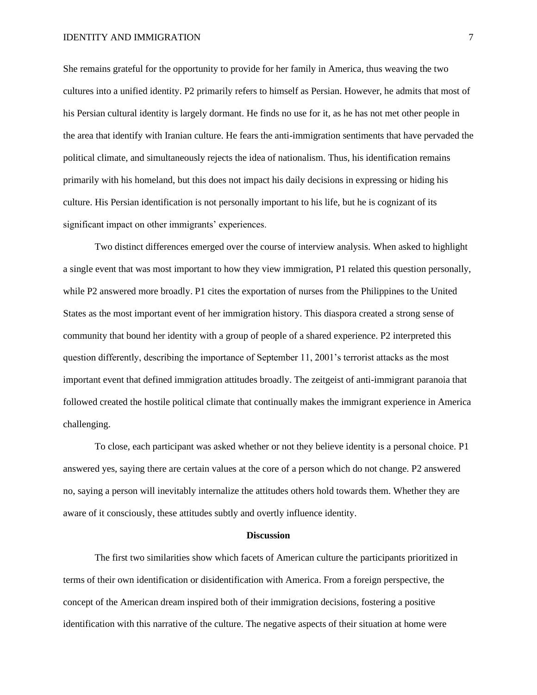She remains grateful for the opportunity to provide for her family in America, thus weaving the two cultures into a unified identity. P2 primarily refers to himself as Persian. However, he admits that most of his Persian cultural identity is largely dormant. He finds no use for it, as he has not met other people in the area that identify with Iranian culture. He fears the anti-immigration sentiments that have pervaded the political climate, and simultaneously rejects the idea of nationalism. Thus, his identification remains primarily with his homeland, but this does not impact his daily decisions in expressing or hiding his culture. His Persian identification is not personally important to his life, but he is cognizant of its significant impact on other immigrants' experiences.

Two distinct differences emerged over the course of interview analysis. When asked to highlight a single event that was most important to how they view immigration, P1 related this question personally, while P2 answered more broadly. P1 cites the exportation of nurses from the Philippines to the United States as the most important event of her immigration history. This diaspora created a strong sense of community that bound her identity with a group of people of a shared experience. P2 interpreted this question differently, describing the importance of September 11, 2001's terrorist attacks as the most important event that defined immigration attitudes broadly. The zeitgeist of anti-immigrant paranoia that followed created the hostile political climate that continually makes the immigrant experience in America challenging.

To close, each participant was asked whether or not they believe identity is a personal choice. P1 answered yes, saying there are certain values at the core of a person which do not change. P2 answered no, saying a person will inevitably internalize the attitudes others hold towards them. Whether they are aware of it consciously, these attitudes subtly and overtly influence identity.

## **Discussion**

The first two similarities show which facets of American culture the participants prioritized in terms of their own identification or disidentification with America. From a foreign perspective, the concept of the American dream inspired both of their immigration decisions, fostering a positive identification with this narrative of the culture. The negative aspects of their situation at home were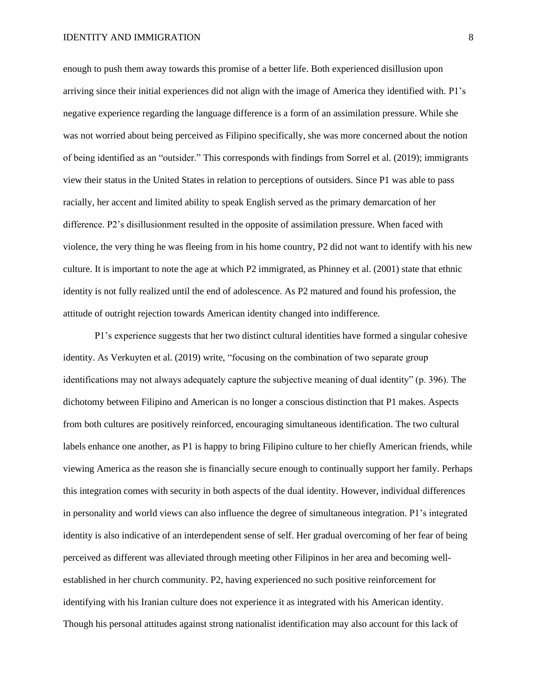## IDENTITY AND IMMIGRATION 8

enough to push them away towards this promise of a better life. Both experienced disillusion upon arriving since their initial experiences did not align with the image of America they identified with. P1's negative experience regarding the language difference is a form of an assimilation pressure. While she was not worried about being perceived as Filipino specifically, she was more concerned about the notion of being identified as an "outsider." This corresponds with findings from Sorrel et al. (2019); immigrants view their status in the United States in relation to perceptions of outsiders. Since P1 was able to pass racially, her accent and limited ability to speak English served as the primary demarcation of her difference. P2's disillusionment resulted in the opposite of assimilation pressure. When faced with violence, the very thing he was fleeing from in his home country, P2 did not want to identify with his new culture. It is important to note the age at which P2 immigrated, as Phinney et al. (2001) state that ethnic identity is not fully realized until the end of adolescence. As P2 matured and found his profession, the attitude of outright rejection towards American identity changed into indifference.

P1's experience suggests that her two distinct cultural identities have formed a singular cohesive identity. As Verkuyten et al. (2019) write, "focusing on the combination of two separate group identifications may not always adequately capture the subjective meaning of dual identity" (p. 396). The dichotomy between Filipino and American is no longer a conscious distinction that P1 makes. Aspects from both cultures are positively reinforced, encouraging simultaneous identification. The two cultural labels enhance one another, as P1 is happy to bring Filipino culture to her chiefly American friends, while viewing America as the reason she is financially secure enough to continually support her family. Perhaps this integration comes with security in both aspects of the dual identity. However, individual differences in personality and world views can also influence the degree of simultaneous integration. P1's integrated identity is also indicative of an interdependent sense of self. Her gradual overcoming of her fear of being perceived as different was alleviated through meeting other Filipinos in her area and becoming wellestablished in her church community. P2, having experienced no such positive reinforcement for identifying with his Iranian culture does not experience it as integrated with his American identity. Though his personal attitudes against strong nationalist identification may also account for this lack of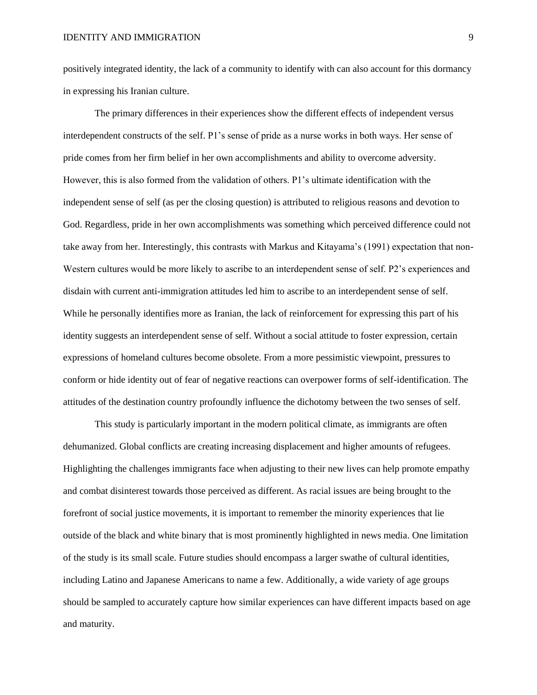positively integrated identity, the lack of a community to identify with can also account for this dormancy in expressing his Iranian culture.

The primary differences in their experiences show the different effects of independent versus interdependent constructs of the self. P1's sense of pride as a nurse works in both ways. Her sense of pride comes from her firm belief in her own accomplishments and ability to overcome adversity. However, this is also formed from the validation of others. P1's ultimate identification with the independent sense of self (as per the closing question) is attributed to religious reasons and devotion to God. Regardless, pride in her own accomplishments was something which perceived difference could not take away from her. Interestingly, this contrasts with Markus and Kitayama's (1991) expectation that non-Western cultures would be more likely to ascribe to an interdependent sense of self. P2's experiences and disdain with current anti-immigration attitudes led him to ascribe to an interdependent sense of self. While he personally identifies more as Iranian, the lack of reinforcement for expressing this part of his identity suggests an interdependent sense of self. Without a social attitude to foster expression, certain expressions of homeland cultures become obsolete. From a more pessimistic viewpoint, pressures to conform or hide identity out of fear of negative reactions can overpower forms of self-identification. The attitudes of the destination country profoundly influence the dichotomy between the two senses of self.

This study is particularly important in the modern political climate, as immigrants are often dehumanized. Global conflicts are creating increasing displacement and higher amounts of refugees. Highlighting the challenges immigrants face when adjusting to their new lives can help promote empathy and combat disinterest towards those perceived as different. As racial issues are being brought to the forefront of social justice movements, it is important to remember the minority experiences that lie outside of the black and white binary that is most prominently highlighted in news media. One limitation of the study is its small scale. Future studies should encompass a larger swathe of cultural identities, including Latino and Japanese Americans to name a few. Additionally, a wide variety of age groups should be sampled to accurately capture how similar experiences can have different impacts based on age and maturity.